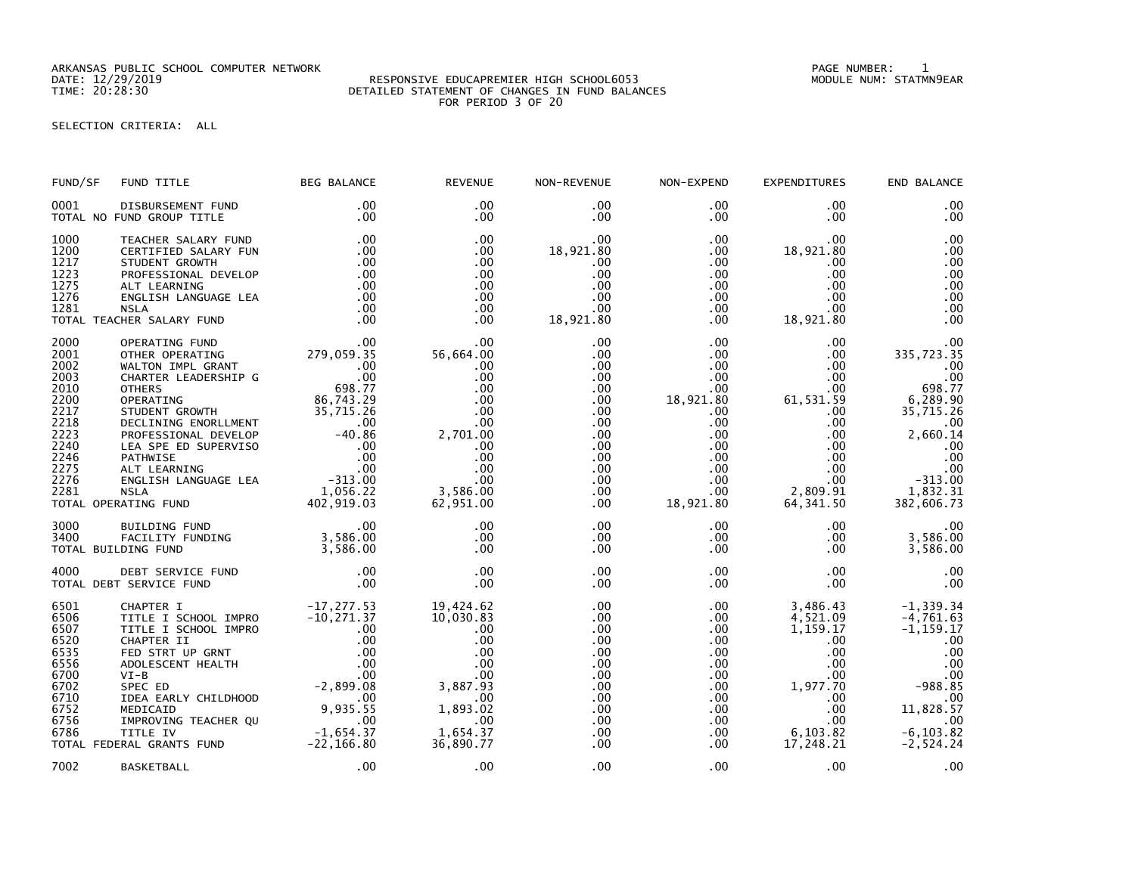ARKANSAS PUBLIC SCHOOL COMPUTER NETWORK PAGE NUMBER: 1

## DATE: 12/29/2019 RESPONSIVE EDUCAPREMIER HIGH SCHOOL6053 MODULE NUM: STATMN9EAR TIME: 20:28:30 DETAILED STATEMENT OF CHANGES IN FUND BALANCES FOR PERIOD 3 OF 20

SELECTION CRITERIA: ALL

| FUND/SF                                                                                                      | FUND TITLE                                                                                                                                                                                                                                                                                                                                                         | <b>BEG BALANCE</b>                                                                                                                                         | <b>REVENUE</b>                                                                                                                             | NON-REVENUE                                                                                                                                                             | NON-EXPEND                                                                                                                                              | <b>EXPENDITURES</b>                                                                                                                                                      | END BALANCE                                                                                                                                       |
|--------------------------------------------------------------------------------------------------------------|--------------------------------------------------------------------------------------------------------------------------------------------------------------------------------------------------------------------------------------------------------------------------------------------------------------------------------------------------------------------|------------------------------------------------------------------------------------------------------------------------------------------------------------|--------------------------------------------------------------------------------------------------------------------------------------------|-------------------------------------------------------------------------------------------------------------------------------------------------------------------------|---------------------------------------------------------------------------------------------------------------------------------------------------------|--------------------------------------------------------------------------------------------------------------------------------------------------------------------------|---------------------------------------------------------------------------------------------------------------------------------------------------|
| 0001                                                                                                         | DISBURSEMENT FUND<br>TOTAL NO FUND GROUP TITLE                                                                                                                                                                                                                                                                                                                     | .00<br>$.00 \,$                                                                                                                                            | .00<br>$.00 \,$                                                                                                                            | $.00 \,$<br>$.00 \,$                                                                                                                                                    | .00<br>$.00 \,$                                                                                                                                         | .00<br>.00                                                                                                                                                               | .00<br>.00                                                                                                                                        |
| 1000<br>1200<br>1217<br>1223<br>1275<br>1276<br>1281                                                         | TEACHER SALARY FUND<br>CERTIFIED SALARY FUN<br>STUDENT GROWTH<br>PROFESSIONAL DEVELOP<br>ALT LEARNING<br>ENGLISH LANGUAGE LEA<br><b>NSLA</b><br>TOTAL TEACHER SALARY FUND                                                                                                                                                                                          | .00<br>.00<br>.00<br>.00<br>.00<br>.00<br>.00<br>.00                                                                                                       | .00<br>$.00 \,$<br>$.00 \,$<br>$.00 \,$<br>$.00 \,$<br>.00<br>$.00 \times$<br>$.00 \,$                                                     | $.00 \,$<br>18,921.80<br>.00<br>.00<br>$.00 \,$<br>.00<br>$.00 \,$<br>18,921.80                                                                                         | $.00 \,$<br>$.00 \,$<br>.00<br>$.00 \,$<br>.00<br>.00<br>$.00 \,$<br>.00                                                                                | .00<br>18,921.80<br>.00<br>.00.<br>.00<br>.00<br>.00.<br>18,921.80                                                                                                       | .00<br>.00<br>.00<br>.00<br>.00<br>.00<br>.00<br>.00                                                                                              |
| 2000<br>2001<br>2002<br>2003<br>2010<br>2200<br>2217<br>2218<br>2223<br>2240<br>2246<br>2275<br>2276<br>2281 | OPERATING FUND<br>OTHER OPERATING<br>WALTON IMPL GRANT<br>CHARTER LEADERSHIP G<br>THERS<br>OPERATING<br>STUDENT GROWTH<br>DECLINING ENORLLMENT 00<br>DECLINING ENORLLMENT 00<br>-AO.86<br>-AO.86<br>-COLORET 000<br>-OO<br>PROFESSIONAL DEVELOP<br>LEA SPE ED SUPERVISO<br>PATHWISE<br>ALT LEARNING<br>ENGLISH LANGUAGE LEA<br><b>NSLA</b><br>TOTAL OPERATING FUND | 00 .<br>279 , 059 . 35<br>$00$ .<br>00.<br>698.77<br>.00<br>00 .<br>00 .<br>00 . 313 - ر<br>1,056.22<br>402,919.03                                         | $.00 \,$<br>56,664.00<br>.00<br>.00<br>$.00 \,$<br>.00<br>.00<br>.00<br>2,701.00<br>$.00 \,$<br>.00<br>.00<br>.00<br>3,586.00<br>62,951.00 | $.00 \,$<br>.00<br>$.00 \,$<br>$.00 \,$<br>$.00 \,$<br>.00<br>$.00 \,$<br>.00<br>.00 <sub>1</sub><br>$.00 \cdot$<br>$.00 \,$<br>.00<br>$.00 \,$<br>$.00 \,$<br>$.00 \,$ | .00<br>.00<br>$.00 \,$<br>$.00 \,$<br>.00<br>18,921.80<br>$.00 \,$<br>.00<br>.00<br>$.00 \,$<br>.00<br>$.00 \,$<br>$.00 \cdot$<br>$.00 \,$<br>18,921.80 | .00<br>.00<br>.00.<br>$.00 \,$<br>$.00 \,$<br>61,531.59<br>$.00 \,$<br>$.00 \,$<br>$.00 \,$<br>$.00 \cdot$<br>$.00 \,$<br>$.00 \,$<br>$.00 \,$<br>2,809.91<br>64, 341.50 | .00<br>335,723.35<br>.00<br>.00<br>698.77<br>6,289.90<br>35,715.26<br>.00<br>2,660.14<br>.00<br>.00<br>.00<br>$-313.00$<br>1,832.31<br>382,606.73 |
| 3000<br>3400                                                                                                 | BUILDING FUND<br>FACILITY FUNDING<br>TOTAL BUILDING FUND                                                                                                                                                                                                                                                                                                           | $.00 \,$<br>3,586.00<br>3,586.00<br>3,586.00                                                                                                               | .00<br>.00<br>$.00 \,$                                                                                                                     | $.00 \,$<br>$.00 \,$<br>.00                                                                                                                                             | $.00 \,$<br>$.00 \,$<br>.00                                                                                                                             | $.00 \,$<br>$.00 \,$<br>.00                                                                                                                                              | .00<br>3,586.00<br>3,586.00                                                                                                                       |
| 4000                                                                                                         | DEBT SERVICE FUND<br>TOTAL DEBT SERVICE FUND                                                                                                                                                                                                                                                                                                                       | .00<br>.00                                                                                                                                                 | $.00 \,$<br>$.00 \,$                                                                                                                       | .00<br>$.00 \,$                                                                                                                                                         | $.00 \,$<br>$.00 \,$                                                                                                                                    | .00<br>$.00 \,$                                                                                                                                                          | .00<br>.00                                                                                                                                        |
| 6501<br>6506<br>6507<br>6520<br>6535<br>6556<br>6700<br>6702<br>6710<br>6752<br>6756<br>6786                 | CHAPTER I<br>TITLE I SCHOOL IMPRO<br>TITLE I SCHOOL IMPRO<br>CHAPTER II<br>FED STRT UP GRNT<br>ADOLESCENT HEALTH<br>$VI-B$<br>SPEC ED<br>IDEA EARLY CHILDHOOD<br>MEDICAID<br>IMPROVING TEACHER QU<br>TITLE IV<br>TOTAL FEDERAL GRANTS FUND                                                                                                                         | $-17, 277.53$<br>$-10,271.37$<br>$.00 \,$<br>.00<br>.00<br>.00<br>.00<br>$-2,899.08$<br>$\sim$ .00<br>9,935.55<br>$\sim 00$<br>$-1,654.37$<br>$-22,166.80$ | 19,424.62<br>10,030.83<br>$.00 \,$<br>.00<br>.00<br>.00<br>$.00 \,$<br>3,887.93<br>.00<br>1,893.02<br>$.00 \,$<br>1,654.37<br>36,890.77    | $.00 \,$<br>.00<br>$.00 \,$<br>$.00 \,$<br>.00<br>$.00 \,$<br>.00.<br>$.00 \,$<br>.00<br>$.00 \,$<br>$.00 \,$<br>$.00 \,$<br>.00                                        | $.00 \,$<br>.00<br>$.00 \,$<br>.00<br>$.00 \,$<br>$.00\,$<br>$.00 \cdot$<br>$.00 \,$<br>.00<br>$.00 \,$<br>.00<br>$.00 \,$<br>.00                       | 3,486.43<br>4,521.09<br>1,159.17<br>.00.<br>$.00 \,$<br>$.00 \,$<br>$.00 \,$<br>1,977.70<br>$.00 \,$<br>$.00 \,$<br>.00 <sub>1</sub><br>6,103.82<br>17,248.21            | $-1, 339.34$<br>$-4,761.63$<br>$-1, 159.17$<br>.00<br>.00<br>.00<br>.00<br>$-988.85$<br>.00<br>11,828.57<br>.00<br>$-6, 103.82$<br>$-2,524.24$    |
| 7002                                                                                                         | <b>BASKETBALL</b>                                                                                                                                                                                                                                                                                                                                                  | .00                                                                                                                                                        | .00                                                                                                                                        | .00                                                                                                                                                                     | $.00 \,$                                                                                                                                                | $.00 \,$                                                                                                                                                                 | .00                                                                                                                                               |